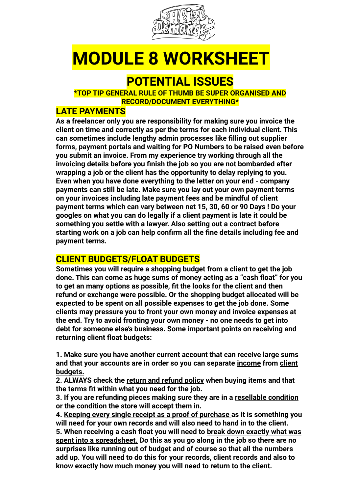

## **MODULE 8 WORKSHEET**

### **POTENTIAL ISSUES**

**\*TOP TIP GENERAL RULE OF THUMB BE SUPER ORGANISED AND RECORD/DOCUMENT EVERYTHING\***

#### **LATE PAYMENTS**

**As a freelancer only you are responsibility for making sure you invoice the client on time and correctly as per the terms for each individual client. This can sometimes include lengthy admin processes like filling out supplier forms, payment portals and waiting for PO Numbers to be raised even before you submit an invoice. From my experience try working through all the invoicing details before you finish the job so you are not bombarded after wrapping a job or the client has the opportunity to delay replying to you. Even when you have done everything to the letter on your end - company payments can still be late. Make sure you lay out your own payment terms on your invoices including late payment fees and be mindful of client payment terms which can vary between net 15, 30, 60 or 90 Days ! Do your googles on what you can do legally if a client payment is late it could be something you settle with a lawyer. Also setting out a contract before starting work on a job can help confirm all the fine details including fee and payment terms.** 

#### **CLIENT BUDGETS/FLOAT BUDGETS**

**Sometimes you will require a shopping budget from a client to get the job done. This can come as huge sums of money acting as a "cash float" for you to get an many options as possible, fit the looks for the client and then refund or exchange were possible. Or the shopping budget allocated will be expected to be spent on all possible expenses to get the job done. Some clients may pressure you to front your own money and invoice expenses at the end. Try to avoid fronting your own money - no one needs to get into debt for someone else's business. Some important points on receiving and returning client float budgets:**

**1. Make sure you have another current account that can receive large sums and that your accounts are in order so you can separate income from client budgets.**

**2. ALWAYS check the return and refund policy when buying items and that the terms fit within what you need for the job.**

**3. If you are refunding pieces making sure they are in a resellable condition or the condition the store will accept them in.**

**4. Keeping every single receipt as a proof of purchase as it is something you will need for your own records and will also need to hand in to the client. 5. When receiving a cash float you will need to break down exactly what was spent into a spreadsheet. Do this as you go along in the job so there are no surprises like running out of budget and of course so that all the numbers add up. You will need to do this for your records, client records and also to know exactly how much money you will need to return to the client.**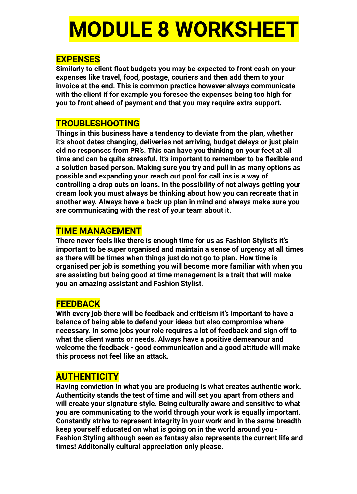## **MODULE 8 WORKSHEET**

#### **EXPENSES**

**Similarly to client float budgets you may be expected to front cash on your expenses like travel, food, postage, couriers and then add them to your invoice at the end. This is common practice however always communicate with the client if for example you foresee the expenses being too high for you to front ahead of payment and that you may require extra support.**

#### **TROUBLESHOOTING**

**Things in this business have a tendency to deviate from the plan, whether it's shoot dates changing, deliveries not arriving, budget delays or just plain old no responses from PR's. This can have you thinking on your feet at all time and can be quite stressful. It's important to remember to be flexible and a solution based person. Making sure you try and pull in as many options as possible and expanding your reach out pool for call ins is a way of controlling a drop outs on loans. In the possibility of not always getting your dream look you must always be thinking about how you can recreate that in another way. Always have a back up plan in mind and always make sure you are communicating with the rest of your team about it.**

#### **TIME MANAGEMENT**

**There never feels like there is enough time for us as Fashion Stylist's it's important to be super organised and maintain a sense of urgency at all times as there will be times when things just do not go to plan. How time is organised per job is something you will become more familiar with when you are assisting but being good at time management is a trait that will make you an amazing assistant and Fashion Stylist.** 

#### **FEEDBACK**

**With every job there will be feedback and criticism it's important to have a balance of being able to defend your ideas but also compromise where necessary. In some jobs your role requires a lot of feedback and sign off to what the client wants or needs. Always have a positive demeanour and welcome the feedback - good communication and a good attitude will make this process not feel like an attack.** 

#### **AUTHENTICITY**

**Having conviction in what you are producing is what creates authentic work. Authenticity stands the test of time and will set you apart from others and will create your signature style. Being culturally aware and sensitive to what you are communicating to the world through your work is equally important. Constantly strive to represent integrity in your work and in the same breadth keep yourself educated on what is going on in the world around you - Fashion Styling although seen as fantasy also represents the current life and times! Additonally cultural appreciation only please.**